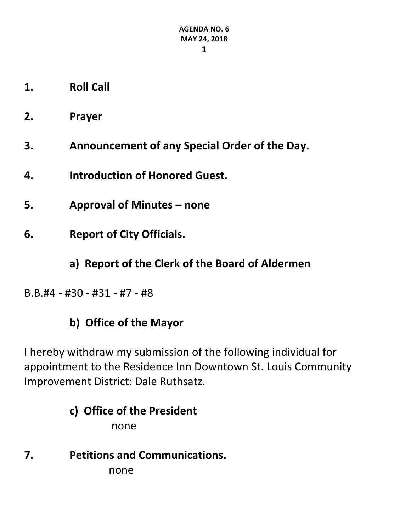- **1. Roll Call**
- **2. Prayer**
- **3. Announcement of any Special Order of the Day.**
- **4. Introduction of Honored Guest.**
- **5. Approval of Minutes – none**
- **6. Report of City Officials.**
	- **a) Report of the Clerk of the Board of Aldermen**
- B.B.#4 #30 #31 #7 #8

# **b) Office of the Mayor**

I hereby withdraw my submission of the following individual for appointment to the Residence Inn Downtown St. Louis Community Improvement District: Dale Ruthsatz.

# **c) Office of the President** none

**7. Petitions and Communications.** none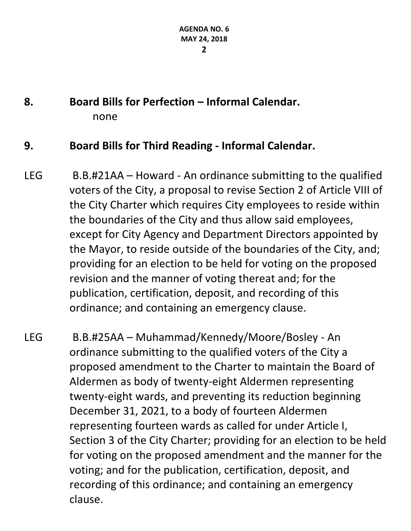# **8. Board Bills for Perfection – Informal Calendar.** none

#### **9. Board Bills for Third Reading - Informal Calendar.**

LEG B.B.#21AA – Howard - An ordinance submitting to the qualified voters of the City, a proposal to revise Section 2 of Article VIII of the City Charter which requires City employees to reside within the boundaries of the City and thus allow said employees, except for City Agency and Department Directors appointed by the Mayor, to reside outside of the boundaries of the City, and; providing for an election to be held for voting on the proposed revision and the manner of voting thereat and; for the publication, certification, deposit, and recording of this ordinance; and containing an emergency clause.

LEG B.B.#25AA – Muhammad/Kennedy/Moore/Bosley - An ordinance submitting to the qualified voters of the City a proposed amendment to the Charter to maintain the Board of Aldermen as body of twenty-eight Aldermen representing twenty-eight wards, and preventing its reduction beginning December 31, 2021, to a body of fourteen Aldermen representing fourteen wards as called for under Article I, Section 3 of the City Charter; providing for an election to be held for voting on the proposed amendment and the manner for the voting; and for the publication, certification, deposit, and recording of this ordinance; and containing an emergency clause.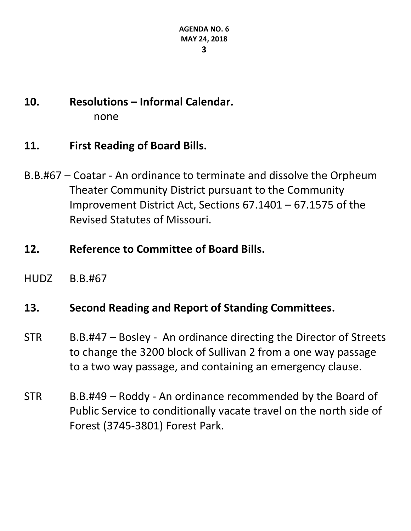# **10. Resolutions – Informal Calendar.** none

### **11. First Reading of Board Bills.**

- B.B.#67 Coatar An ordinance to terminate and dissolve the Orpheum Theater Community District pursuant to the Community Improvement District Act, Sections 67.1401 – 67.1575 of the Revised Statutes of Missouri.
- **12. Reference to Committee of Board Bills.**
- HUDZ B.B.#67

#### **13. Second Reading and Report of Standing Committees.**

- STR B.B.#47 Bosley An ordinance directing the Director of Streets to change the 3200 block of Sullivan 2 from a one way passage to a two way passage, and containing an emergency clause.
- STR B.B.#49 Roddy An ordinance recommended by the Board of Public Service to conditionally vacate travel on the north side of Forest (3745-3801) Forest Park.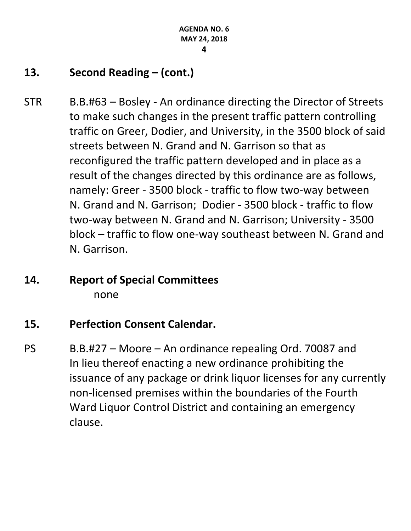# **13. Second Reading – (cont.)**

STR B.B.#63 – Bosley - An ordinance directing the Director of Streets to make such changes in the present traffic pattern controlling traffic on Greer, Dodier, and University, in the 3500 block of said streets between N. Grand and N. Garrison so that as reconfigured the traffic pattern developed and in place as a result of the changes directed by this ordinance are as follows, namely: Greer - 3500 block - traffic to flow two-way between N. Grand and N. Garrison; Dodier - 3500 block - traffic to flow two-way between N. Grand and N. Garrison; University - 3500 block – traffic to flow one-way southeast between N. Grand and N. Garrison.

# **14. Report of Special Committees** none

# **15. Perfection Consent Calendar.**

PS B.B.#27 – Moore – An ordinance repealing Ord. 70087 and In lieu thereof enacting a new ordinance prohibiting the issuance of any package or drink liquor licenses for any currently non-licensed premises within the boundaries of the Fourth Ward Liquor Control District and containing an emergency clause.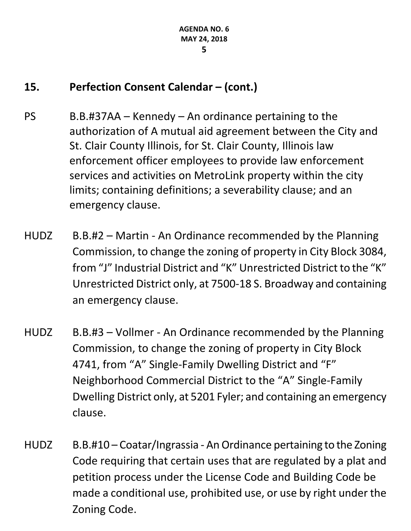## **15. Perfection Consent Calendar – (cont.)**

- PS B.B.#37AA Kennedy An ordinance pertaining to the authorization of A mutual aid agreement between the City and St. Clair County Illinois, for St. Clair County, Illinois law enforcement officer employees to provide law enforcement services and activities on MetroLink property within the city limits; containing definitions; a severability clause; and an emergency clause.
- HUDZ B.B.#2 Martin An Ordinance recommended by the Planning Commission, to change the zoning of property in City Block 3084, from "J" Industrial District and "K" Unrestricted District to the "K" Unrestricted District only, at 7500-18 S. Broadway and containing an emergency clause.
- HUDZ B.B.#3 Vollmer An Ordinance recommended by the Planning Commission, to change the zoning of property in City Block 4741, from "A" Single-Family Dwelling District and "F" Neighborhood Commercial District to the "A" Single-Family Dwelling District only, at 5201 Fyler; and containing an emergency clause.
- HUDZ B.B.#10 Coatar/Ingrassia An Ordinance pertaining to the Zoning Code requiring that certain uses that are regulated by a plat and petition process under the License Code and Building Code be made a conditional use, prohibited use, or use by right under the Zoning Code.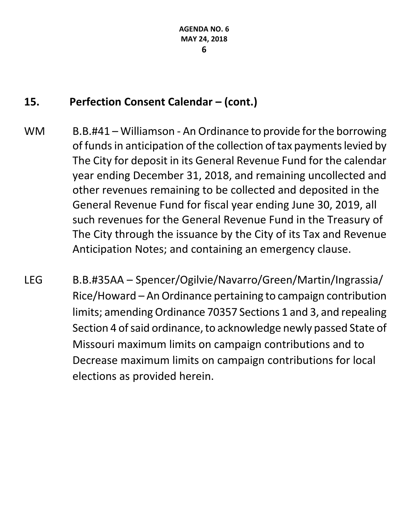# **15. Perfection Consent Calendar – (cont.)**

- WM B.B.#41 Williamson An Ordinance to provide for the borrowing of funds in anticipation of the collection of tax payments levied by The City for deposit in its General Revenue Fund for the calendar year ending December 31, 2018, and remaining uncollected and other revenues remaining to be collected and deposited in the General Revenue Fund for fiscal year ending June 30, 2019, all such revenues for the General Revenue Fund in the Treasury of The City through the issuance by the City of its Tax and Revenue Anticipation Notes; and containing an emergency clause.
- LEG B.B.#35AA Spencer/Ogilvie/Navarro/Green/Martin/Ingrassia/ Rice/Howard – An Ordinance pertaining to campaign contribution limits; amending Ordinance 70357 Sections 1 and 3, and repealing Section 4 of said ordinance, to acknowledge newly passed State of Missouri maximum limits on campaign contributions and to Decrease maximum limits on campaign contributions for local elections as provided herein.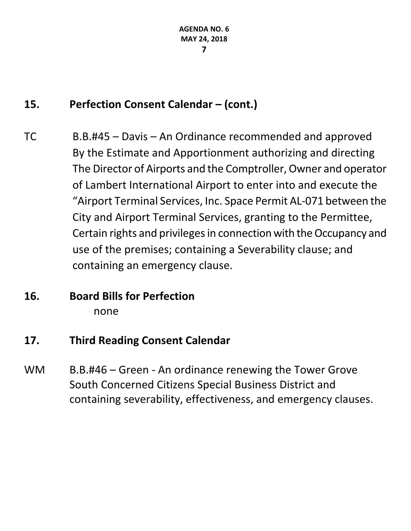# **15. Perfection Consent Calendar – (cont.)**

- TC B.B.#45 Davis An Ordinance recommended and approved By the Estimate and Apportionment authorizing and directing The Director of Airports and the Comptroller, Owner and operator of Lambert International Airport to enter into and execute the "Airport Terminal Services, Inc. Space Permit AL-071 between the City and Airport Terminal Services, granting to the Permittee, Certain rights and privileges in connection with the Occupancy and use of the premises; containing a Severability clause; and containing an emergency clause.
- **16. Board Bills for Perfection** none

# **17. Third Reading Consent Calendar**

WM B.B.#46 – Green - An ordinance renewing the Tower Grove South Concerned Citizens Special Business District and containing severability, effectiveness, and emergency clauses.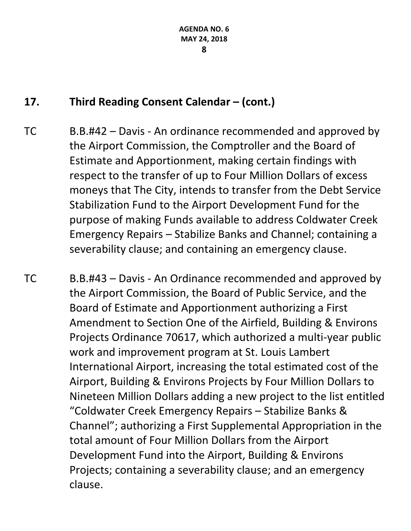# **17. Third Reading Consent Calendar – (cont.)**

TC B.B.#42 – Davis - An ordinance recommended and approved by the Airport Commission, the Comptroller and the Board of Estimate and Apportionment, making certain findings with respect to the transfer of up to Four Million Dollars of excess moneys that The City, intends to transfer from the Debt Service Stabilization Fund to the Airport Development Fund for the purpose of making Funds available to address Coldwater Creek Emergency Repairs – Stabilize Banks and Channel; containing a severability clause; and containing an emergency clause.

TC B.B.#43 – Davis - An Ordinance recommended and approved by the Airport Commission, the Board of Public Service, and the Board of Estimate and Apportionment authorizing a First Amendment to Section One of the Airfield, Building & Environs Projects Ordinance 70617, which authorized a multi-year public work and improvement program at St. Louis Lambert International Airport, increasing the total estimated cost of the Airport, Building & Environs Projects by Four Million Dollars to Nineteen Million Dollars adding a new project to the list entitled "Coldwater Creek Emergency Repairs – Stabilize Banks & Channel"; authorizing a First Supplemental Appropriation in the total amount of Four Million Dollars from the Airport Development Fund into the Airport, Building & Environs Projects; containing a severability clause; and an emergency clause.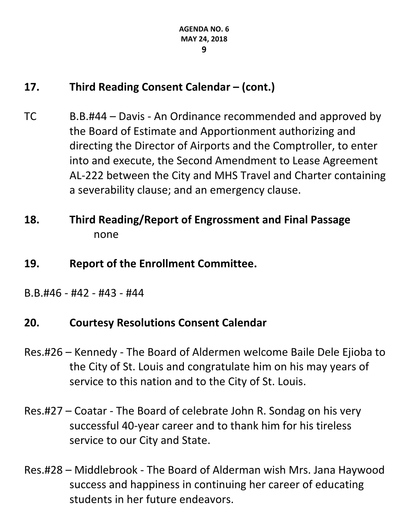# **17. Third Reading Consent Calendar – (cont.)**

- TC B.B.#44 Davis An Ordinance recommended and approved by the Board of Estimate and Apportionment authorizing and directing the Director of Airports and the Comptroller, to enter into and execute, the Second Amendment to Lease Agreement AL-222 between the City and MHS Travel and Charter containing a severability clause; and an emergency clause.
- **18. Third Reading/Report of Engrossment and Final Passage** none
- **19. Report of the Enrollment Committee.**
- B.B.#46 #42 #43 #44

#### **20. Courtesy Resolutions Consent Calendar**

- Res.#26 Kennedy The Board of Aldermen welcome Baile Dele Ejioba to the City of St. Louis and congratulate him on his may years of service to this nation and to the City of St. Louis.
- Res.#27 Coatar The Board of celebrate John R. Sondag on his very successful 40-year career and to thank him for his tireless service to our City and State.
- Res.#28 Middlebrook The Board of Alderman wish Mrs. Jana Haywood success and happiness in continuing her career of educating students in her future endeavors.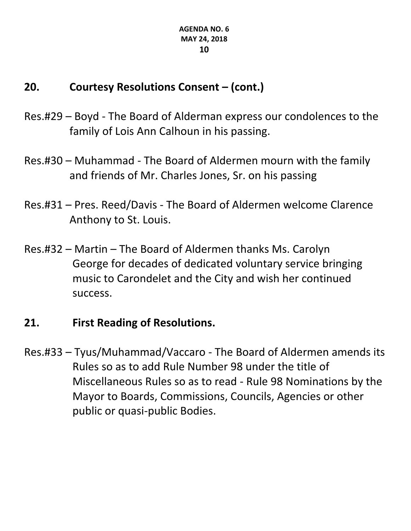# **20. Courtesy Resolutions Consent – (cont.)**

- Res.#29 Boyd The Board of Alderman express our condolences to the family of Lois Ann Calhoun in his passing.
- Res.#30 Muhammad The Board of Aldermen mourn with the family and friends of Mr. Charles Jones, Sr. on his passing
- Res.#31 Pres. Reed/Davis The Board of Aldermen welcome Clarence Anthony to St. Louis.
- Res.#32 Martin The Board of Aldermen thanks Ms. Carolyn George for decades of dedicated voluntary service bringing music to Carondelet and the City and wish her continued success.

# **21. First Reading of Resolutions.**

Res.#33 – Tyus/Muhammad/Vaccaro - The Board of Aldermen amends its Rules so as to add Rule Number 98 under the title of Miscellaneous Rules so as to read - Rule 98 Nominations by the Mayor to Boards, Commissions, Councils, Agencies or other public or quasi-public Bodies.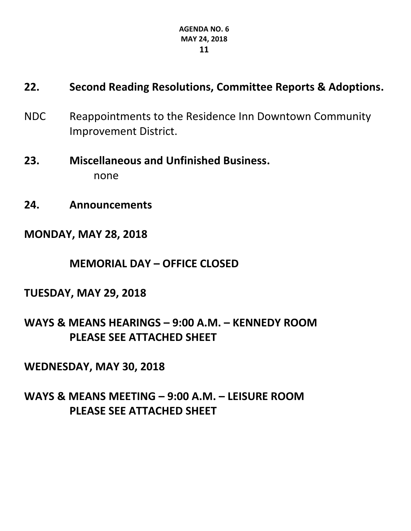#### **AGENDA NO. 6 MAY 24, 2018 11**

### **22. Second Reading Resolutions, Committee Reports & Adoptions.**

- NDC Reappointments to the Residence Inn Downtown Community Improvement District.
- **23. Miscellaneous and Unfinished Business.** none
- **24. Announcements**
- **MONDAY, MAY 28, 2018**

**MEMORIAL DAY – OFFICE CLOSED**

**TUESDAY, MAY 29, 2018**

**WAYS & MEANS HEARINGS – 9:00 A.M. – KENNEDY ROOM PLEASE SEE ATTACHED SHEET**

**WEDNESDAY, MAY 30, 2018**

**WAYS & MEANS MEETING – 9:00 A.M. – LEISURE ROOM PLEASE SEE ATTACHED SHEET**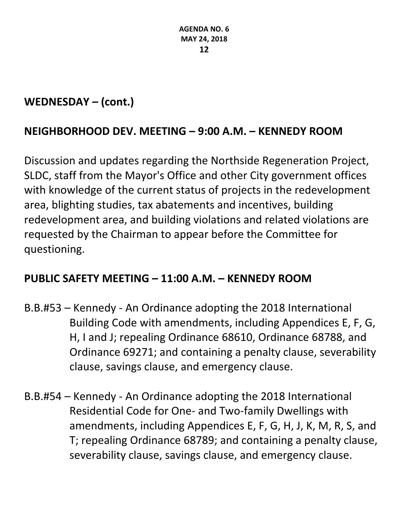## **WEDNESDAY – (cont.)**

#### **NEIGHBORHOOD DEV. MEETING – 9:00 A.M. – KENNEDY ROOM**

Discussion and updates regarding the Northside Regeneration Project, SLDC, staff from the Mayor's Office and other City government offices with knowledge of the current status of projects in the redevelopment area, blighting studies, tax abatements and incentives, building redevelopment area, and building violations and related violations are requested by the Chairman to appear before the Committee for questioning.

# **PUBLIC SAFETY MEETING – 11:00 A.M. – KENNEDY ROOM**

- B.B.#53 Kennedy An Ordinance adopting the 2018 International Building Code with amendments, including Appendices E, F, G, H, I and J; repealing Ordinance 68610, Ordinance 68788, and Ordinance 69271; and containing a penalty clause, severability clause, savings clause, and emergency clause.
- B.B.#54 Kennedy An Ordinance adopting the 2018 International Residential Code for One- and Two-family Dwellings with amendments, including Appendices E, F, G, H, J, K, M, R, S, and T; repealing Ordinance 68789; and containing a penalty clause, severability clause, savings clause, and emergency clause.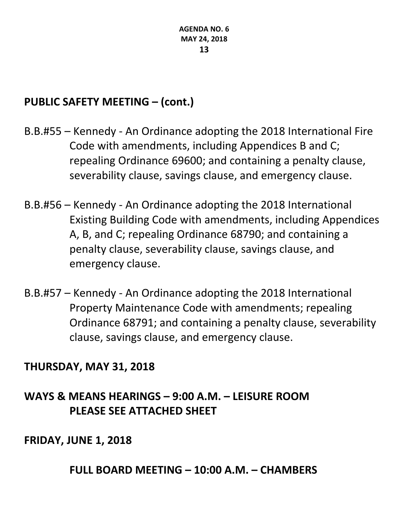### **PUBLIC SAFETY MEETING – (cont.)**

- B.B.#55 Kennedy An Ordinance adopting the 2018 International Fire Code with amendments, including Appendices B and C; repealing Ordinance 69600; and containing a penalty clause, severability clause, savings clause, and emergency clause.
- B.B.#56 Kennedy An Ordinance adopting the 2018 International Existing Building Code with amendments, including Appendices A, B, and C; repealing Ordinance 68790; and containing a penalty clause, severability clause, savings clause, and emergency clause.
- B.B.#57 Kennedy An Ordinance adopting the 2018 International Property Maintenance Code with amendments; repealing Ordinance 68791; and containing a penalty clause, severability clause, savings clause, and emergency clause.

#### **THURSDAY, MAY 31, 2018**

# **WAYS & MEANS HEARINGS – 9:00 A.M. – LEISURE ROOM PLEASE SEE ATTACHED SHEET**

#### **FRIDAY, JUNE 1, 2018**

**FULL BOARD MEETING – 10:00 A.M. – CHAMBERS**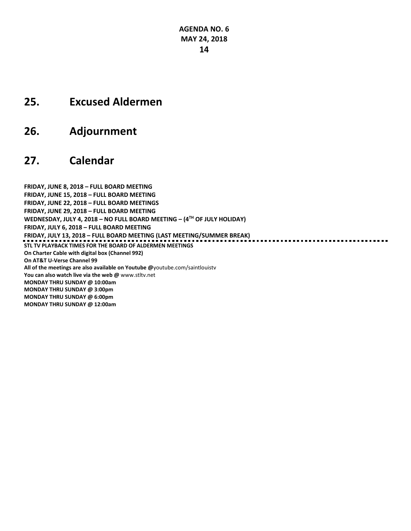#### **25. Excused Aldermen**

**26. Adjournment**

#### **27. Calendar**

**FRIDAY, JUNE 8, 2018 – FULL BOARD MEETING FRIDAY, JUNE 15, 2018 – FULL BOARD MEETING FRIDAY, JUNE 22, 2018 – FULL BOARD MEETINGS FRIDAY, JUNE 29, 2018 – FULL BOARD MEETING WEDNESDAY, JULY 4, 2018 – NO FULL BOARD MEETING – (4TH OF JULY HOLIDAY) FRIDAY, JULY 6, 2018 – FULL BOARD MEETING FRIDAY, JULY 13, 2018 – FULL BOARD MEETING (LAST MEETING/SUMMER BREAK) STL TV PLAYBACK TIMES FOR THE BOARD OF ALDERMEN MEETINGS On Charter Cable with digital box (Channel 992) On AT&T U-Verse Channel 99 All of the meetings are also available on Youtube @**[youtube.com/saintlouistv](http://youtube.com/saintlouistv) **You can also watch live via the web @** [www.stltv.net](http://www.stltv.net/) **MONDAY THRU SUNDAY @ 10:00am MONDAY THRU SUNDAY @ 3:00pm MONDAY THRU SUNDAY @ 6:00pm MONDAY THRU SUNDAY @ 12:00am**